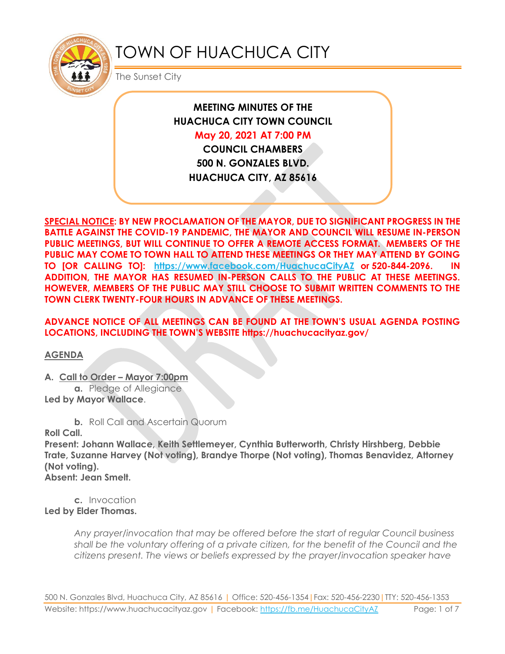

# TOWN OF HUACHUCA CITY

The Sunset City

**MEETING MINUTES OF THE HUACHUCA CITY TOWN COUNCIL May 20, 2021 AT 7:00 PM**

**COUNCIL CHAMBERS 500 N. GONZALES BLVD. HUACHUCA CITY, AZ 85616**

**SPECIAL NOTICE: BY NEW PROCLAMATION OF THE MAYOR, DUE TO SIGNIFICANT PROGRESS IN THE BATTLE AGAINST THE COVID-19 PANDEMIC, THE MAYOR AND COUNCIL WILL RESUME IN-PERSON PUBLIC MEETINGS, BUT WILL CONTINUE TO OFFER A REMOTE ACCESS FORMAT. MEMBERS OF THE PUBLIC MAY COME TO TOWN HALL TO ATTEND THESE MEETINGS OR THEY MAY ATTEND BY GOING TO [OR CALLING TO]: <https://www.facebook.com/HuachucaCityAZ> or 520-844-2096. IN ADDITION, THE MAYOR HAS RESUMED IN-PERSON CALLS TO THE PUBLIC AT THESE MEETINGS. HOWEVER, MEMBERS OF THE PUBLIC MAY STILL CHOOSE TO SUBMIT WRITTEN COMMENTS TO THE TOWN CLERK TWENTY-FOUR HOURS IN ADVANCE OF THESE MEETINGS.** 

**ADVANCE NOTICE OF ALL MEETINGS CAN BE FOUND AT THE TOWN'S USUAL AGENDA POSTING LOCATIONS, INCLUDING THE TOWN'S WEBSITE https://huachucacityaz.gov/**

**AGENDA**

**A. Call to Order – Mayor 7:00pm**

**a.** Pledge of Allegiance **Led by Mayor Wallace**.

**b.** Roll Call and Ascertain Quorum

**Roll Call.**

**Present: Johann Wallace, Keith Settlemeyer, Cynthia Butterworth, Christy Hirshberg, Debbie Trate, Suzanne Harvey (Not voting), Brandye Thorpe (Not voting), Thomas Benavidez, Attorney (Not voting).**

**Absent: Jean Smelt.**

**c.** Invocation **Led by Elder Thomas.**

> *Any prayer/invocation that may be offered before the start of regular Council business shall be the voluntary offering of a private citizen, for the benefit of the Council and the citizens present. The views or beliefs expressed by the prayer/invocation speaker have*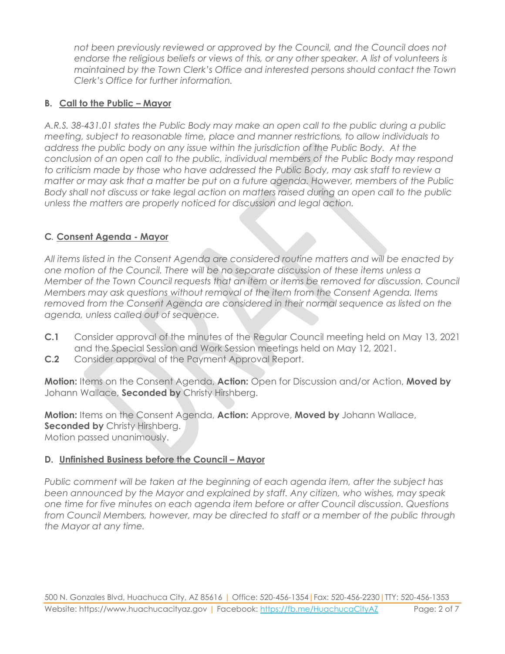*not been previously reviewed or approved by the Council, and the Council does not endorse the religious beliefs or views of this, or any other speaker. A list of volunteers is maintained by the Town Clerk's Office and interested persons should contact the Town Clerk's Office for further information.*

## **B. Call to the Public – Mayor**

*A.R.S. 38-431.01 states the Public Body may make an open call to the public during a public meeting, subject to reasonable time, place and manner restrictions, to allow individuals to address the public body on any issue within the jurisdiction of the Public Body. At the conclusion of an open call to the public, individual members of the Public Body may respond to criticism made by those who have addressed the Public Body, may ask staff to review a matter or may ask that a matter be put on a future agenda. However, members of the Public Body shall not discuss or take legal action on matters raised during an open call to the public unless the matters are properly noticed for discussion and legal action.*

## **C***.* **Consent Agenda - Mayor**

*All items listed in the Consent Agenda are considered routine matters and will be enacted by one motion of the Council. There will be no separate discussion of these items unless a Member of the Town Council requests that an item or items be removed for discussion. Council Members may ask questions without removal of the item from the Consent Agenda. Items removed from the Consent Agenda are considered in their normal sequence as listed on the agenda, unless called out of sequence.*

- **C.1** Consider approval of the minutes of the Regular Council meeting held on May 13, 2021 and the Special Session and Work Session meetings held on May 12, 2021.
- **C.2** Consider approval of the Payment Approval Report.

**Motion:** Items on the Consent Agenda, **Action:** Open for Discussion and/or Action, **Moved by** Johann Wallace, **Seconded by** Christy Hirshberg.

**Motion:** Items on the Consent Agenda, **Action:** Approve, **Moved by** Johann Wallace, **Seconded by Christy Hirshberg.** Motion passed unanimously.

#### **D. Unfinished Business before the Council – Mayor**

*Public comment will be taken at the beginning of each agenda item, after the subject has been announced by the Mayor and explained by staff. Any citizen, who wishes, may speak one time for five minutes on each agenda item before or after Council discussion. Questions from Council Members, however, may be directed to staff or a member of the public through the Mayor at any time.*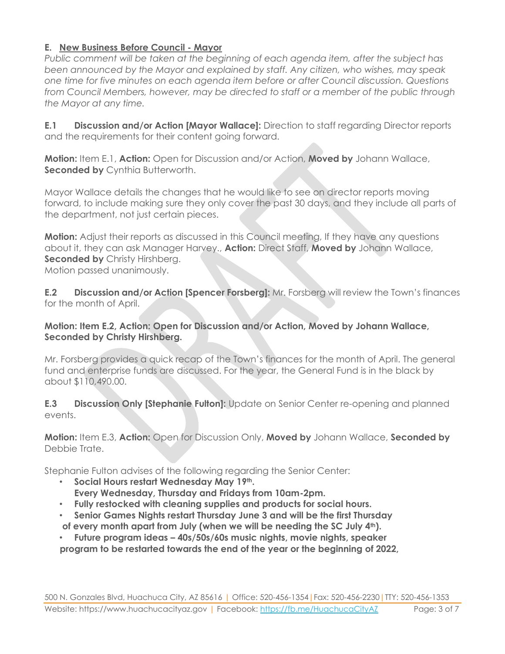## **E. New Business Before Council - Mayor**

*Public comment will be taken at the beginning of each agenda item, after the subject has been announced by the Mayor and explained by staff. Any citizen, who wishes, may speak one time for five minutes on each agenda item before or after Council discussion. Questions from Council Members, however, may be directed to staff or a member of the public through the Mayor at any time.*

**E.1 Discussion and/or Action [Mayor Wallace]:** Direction to staff regarding Director reports and the requirements for their content going forward.

**Motion:** Item E.1, **Action:** Open for Discussion and/or Action, **Moved by** Johann Wallace, **Seconded by Cynthia Butterworth.** 

Mayor Wallace details the changes that he would like to see on director reports moving forward, to include making sure they only cover the past 30 days, and they include all parts of the department, not just certain pieces.

**Motion:** Adjust their reports as discussed in this Council meeting, If they have any questions about it, they can ask Manager Harvey., **Action:** Direct Staff, **Moved by** Johann Wallace, **Seconded by** Christy Hirshberg.

Motion passed unanimously.

**E.2 Discussion and/or Action [Spencer Forsberg]:** Mr. Forsberg will review the Town's finances for the month of April.

#### **Motion: Item E.2, Action: Open for Discussion and/or Action, Moved by Johann Wallace, Seconded by Christy Hirshberg.**

Mr. Forsberg provides a quick recap of the Town's finances for the month of April. The general fund and enterprise funds are discussed. For the year, the General Fund is in the black by about \$110,490.00.

**E.3 Discussion Only [Stephanie Fulton]:** Update on Senior Center re-opening and planned events.

**Motion:** Item E.3, **Action:** Open for Discussion Only, **Moved by** Johann Wallace, **Seconded by** Debbie Trate.

Stephanie Fulton advises of the following regarding the Senior Center:

- **Social Hours restart Wednesday May 19th. Every Wednesday, Thursday and Fridays from 10am-2pm.**
- **Fully restocked with cleaning supplies and products for social hours.**
- **Senior Games Nights restart Thursday June 3 and will be the first Thursday of every month apart from July (when we will be needing the SC July 4th).**
- **Future program ideas – 40s/50s/60s music nights, movie nights, speaker program to be restarted towards the end of the year or the beginning of 2022,**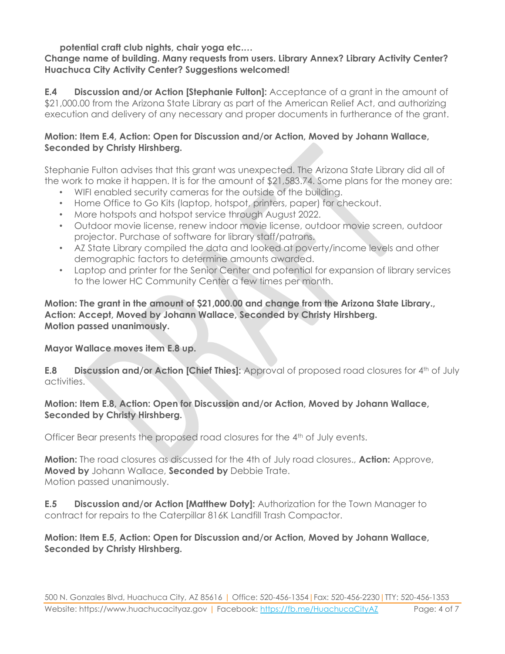**potential craft club nights, chair yoga etc.…**

#### **Change name of building. Many requests from users. Library Annex? Library Activity Center? Huachuca City Activity Center? Suggestions welcomed!**

**E.4 Discussion and/or Action [Stephanie Fulton]:** Acceptance of a grant in the amount of \$21,000.00 from the Arizona State Library as part of the American Relief Act, and authorizing execution and delivery of any necessary and proper documents in furtherance of the grant.

#### **Motion: Item E.4, Action: Open for Discussion and/or Action, Moved by Johann Wallace, Seconded by Christy Hirshberg.**

Stephanie Fulton advises that this grant was unexpected. The Arizona State Library did all of the work to make it happen. It is for the amount of \$21,583.74. Some plans for the money are:

- WIFI enabled security cameras for the outside of the building.
- Home Office to Go Kits (laptop, hotspot, printers, paper) for checkout.
- More hotspots and hotspot service through August 2022.
- Outdoor movie license, renew indoor movie license, outdoor movie screen, outdoor projector. Purchase of software for library staff/patrons.
- AZ State Library compiled the data and looked at poverty/income levels and other demographic factors to determine amounts awarded.
- Laptop and printer for the Senior Center and potential for expansion of library services to the lower HC Community Center a few times per month.

#### **Motion: The grant in the amount of \$21,000.00 and change from the Arizona State Library., Action: Accept, Moved by Johann Wallace, Seconded by Christy Hirshberg. Motion passed unanimously.**

**Mayor Wallace moves item E.8 up.**

**E.8 Discussion and/or Action [Chief Thies]:** Approval of proposed road closures for 4<sup>th</sup> of July activities.

#### **Motion: Item E.8, Action: Open for Discussion and/or Action, Moved by Johann Wallace, Seconded by Christy Hirshberg.**

Officer Bear presents the proposed road closures for the 4th of July events.

**Motion:** The road closures as discussed for the 4th of July road closures., **Action:** Approve, **Moved by** Johann Wallace, **Seconded by** Debbie Trate. Motion passed unanimously.

**E.5 Discussion and/or Action [Matthew Doty]:** Authorization for the Town Manager to contract for repairs to the Caterpillar 816K Landfill Trash Compactor.

#### **Motion: Item E.5, Action: Open for Discussion and/or Action, Moved by Johann Wallace, Seconded by Christy Hirshberg.**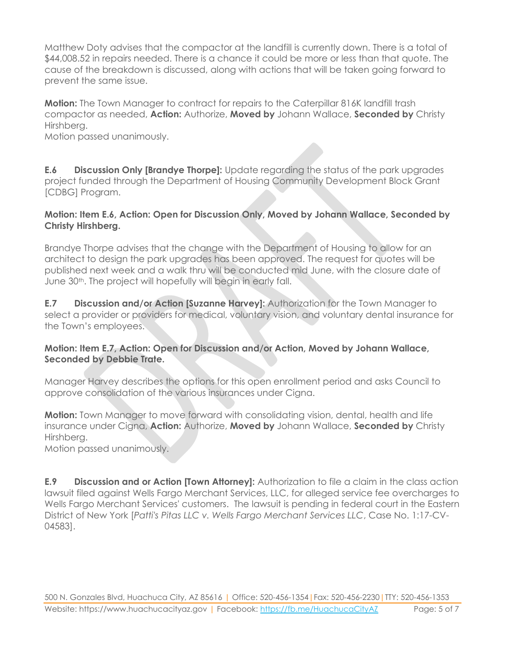Matthew Doty advises that the compactor at the landfill is currently down. There is a total of \$44,008.52 in repairs needed. There is a chance it could be more or less than that quote. The cause of the breakdown is discussed, along with actions that will be taken going forward to prevent the same issue.

**Motion:** The Town Manager to contract for repairs to the Caterpillar 816K landfill trash compactor as needed, **Action:** Authorize, **Moved by** Johann Wallace, **Seconded by** Christy Hirshberg.

Motion passed unanimously.

**E.6 Discussion Only [Brandye Thorpe]:** Update regarding the status of the park upgrades project funded through the Department of Housing Community Development Block Grant [CDBG] Program.

#### **Motion: Item E.6, Action: Open for Discussion Only, Moved by Johann Wallace, Seconded by Christy Hirshberg.**

Brandye Thorpe advises that the change with the Department of Housing to allow for an architect to design the park upgrades has been approved. The request for quotes will be published next week and a walk thru will be conducted mid June, with the closure date of June 30<sup>th</sup>. The project will hopefully will begin in early fall.

**E.7 Discussion and/or Action [Suzanne Harvey]:** Authorization for the Town Manager to select a provider or providers for medical, voluntary vision, and voluntary dental insurance for the Town's employees.

#### **Motion: Item E.7, Action: Open for Discussion and/or Action, Moved by Johann Wallace, Seconded by Debbie Trate.**

Manager Harvey describes the options for this open enrollment period and asks Council to approve consolidation of the various insurances under Cigna.

**Motion:** Town Manager to move forward with consolidating vision, dental, health and life insurance under Cigna, **Action:** Authorize, **Moved by** Johann Wallace, **Seconded by** Christy Hirshberg.

Motion passed unanimously.

**E.9 Discussion and or Action [Town Attorney]:** Authorization to file a claim in the class action lawsuit filed against Wells Fargo Merchant Services, LLC, for alleged service fee overcharges to Wells Fargo Merchant Services' customers. The lawsuit is pending in federal court in the Eastern District of New York [*Patti's Pitas LLC v. Wells Fargo Merchant Services LLC*, Case No. 1:17-CV-04583].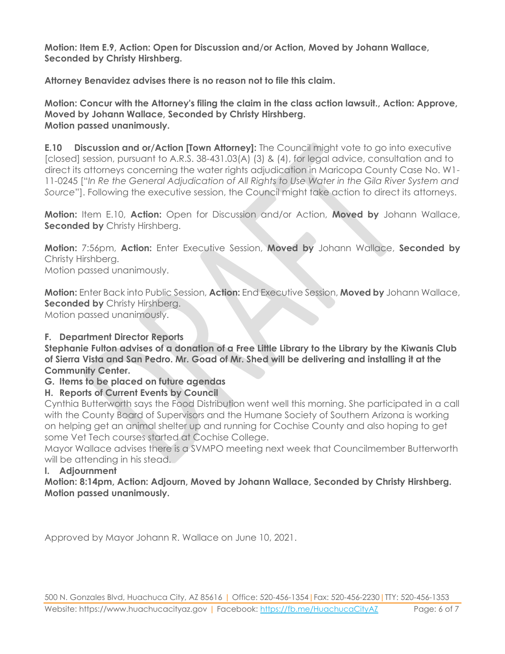**Motion: Item E.9, Action: Open for Discussion and/or Action, Moved by Johann Wallace, Seconded by Christy Hirshberg.**

**Attorney Benavidez advises there is no reason not to file this claim.**

**Motion: Concur with the Attorney's filing the claim in the class action lawsuit., Action: Approve, Moved by Johann Wallace, Seconded by Christy Hirshberg. Motion passed unanimously.**

**E.10 Discussion and or/Action [Town Attorney]:** The Council might vote to go into executive [closed] session, pursuant to A.R.S. 38-431.03(A) (3) & (4), for legal advice, consultation and to direct its attorneys concerning the water rights adjudication in Maricopa County Case No. W1- 11-0245 ["*In Re the General Adjudication of All Rights to Use Water in the Gila River System and Source*"]. Following the executive session, the Council might take action to direct its attorneys.

**Motion:** Item E.10, **Action:** Open for Discussion and/or Action, **Moved by** Johann Wallace, **Seconded by** Christy Hirshberg.

**Motion:** 7:56pm, **Action:** Enter Executive Session, **Moved by** Johann Wallace, **Seconded by** Christy Hirshberg. Motion passed unanimously.

**Motion:** Enter Back into Public Session, **Action:** End Executive Session, **Moved by** Johann Wallace, **Seconded by** Christy Hirshberg. Motion passed unanimously.

# **F. Department Director Reports**

**Stephanie Fulton advises of a donation of a Free Little Library to the Library by the Kiwanis Club of Sierra Vista and San Pedro. Mr. Goad of Mr. Shed will be delivering and installing it at the Community Center.**

# **G. Items to be placed on future agendas**

# **H. Reports of Current Events by Council**

Cynthia Butterworth says the Food Distribution went well this morning. She participated in a call with the County Board of Supervisors and the Humane Society of Southern Arizona is working on helping get an animal shelter up and running for Cochise County and also hoping to get some Vet Tech courses started at Cochise College.

Mayor Wallace advises there is a SVMPO meeting next week that Councilmember Butterworth will be attending in his stead.

#### **I. Adjournment**

**Motion: 8:14pm, Action: Adjourn, Moved by Johann Wallace, Seconded by Christy Hirshberg. Motion passed unanimously.**

Approved by Mayor Johann R. Wallace on June 10, 2021.